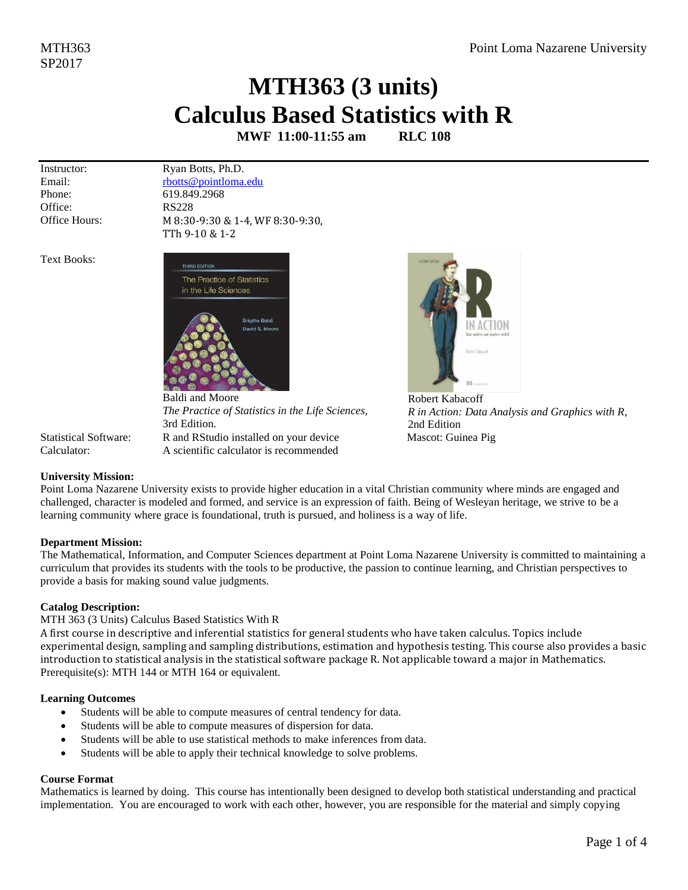# **MTH363 (3 units) Calculus Based Statistics with R**

**MWF 11:00-11:55 am RLC 108**

Instructor: Email: Phone: Office: Office Hours: Ryan Botts, Ph.D. [rbotts@pointloma.edu](mailto:rbotts@pointloma.edu) 619.849.2968 RS228 M 8:30-9:30 & 1-4, WF 8:30-9:30, TTh 9-10 & 1-2

Text Books:



Baldi and Moore *The Practice of Statistics in the Life Sciences,* 3rd Edition. Statistical Software: R and RStudio installed on your device Mascot: Guinea Pig



[Robert Kabacoff](https://www.amazon.com/Robert-Kabacoff/e/B003VO8EG4/ref=dp_byline_cont_book_1) *R in Action: Data Analysis and Graphics with R*, 2nd Edition

Calculator: A scientific calculator is recommended

# **University Mission:**

Point Loma Nazarene University exists to provide higher education in a vital Christian community where minds are engaged and challenged, character is modeled and formed, and service is an expression of faith. Being of Wesleyan heritage, we strive to be a learning community where grace is foundational, truth is pursued, and holiness is a way of life.

### **Department Mission:**

The Mathematical, Information, and Computer Sciences department at Point Loma Nazarene University is committed to maintaining a curriculum that provides its students with the tools to be productive, the passion to continue learning, and Christian perspectives to provide a basis for making sound value judgments.

# **Catalog Description:**

MTH 363 (3 Units) Calculus Based Statistics With R

A first course in descriptive and inferential statistics for general students who have taken calculus. Topics include experimental design, sampling and sampling distributions, estimation and hypothesis testing. This course also provides a basic introduction to statistical analysis in the statistical software package R. Not applicable toward a major in Mathematics. Prerequisite(s)[: MTH 144](http://catalog.pointloma.edu/content.php?filter%5B27%5D=MTH&filter%5B29%5D=363&filter%5Bcourse_type%5D=-1&filter%5Bkeyword%5D=&filter%5B32%5D=1&filter%5Bcpage%5D=1&cur_cat_oid=24&expand=&navoid=1590&search_database=Filter#tt1159) o[r MTH 164](http://catalog.pointloma.edu/content.php?filter%5B27%5D=MTH&filter%5B29%5D=363&filter%5Bcourse_type%5D=-1&filter%5Bkeyword%5D=&filter%5B32%5D=1&filter%5Bcpage%5D=1&cur_cat_oid=24&expand=&navoid=1590&search_database=Filter#tt237) or equivalent.

# **Learning Outcomes**

- Students will be able to compute measures of central tendency for data.
- Students will be able to compute measures of dispersion for data.
- Students will be able to use statistical methods to make inferences from data.
- Students will be able to apply their technical knowledge to solve problems.

# **Course Format**

Mathematics is learned by doing. This course has intentionally been designed to develop both statistical understanding and practical implementation. You are encouraged to work with each other, however, you are responsible for the material and simply copying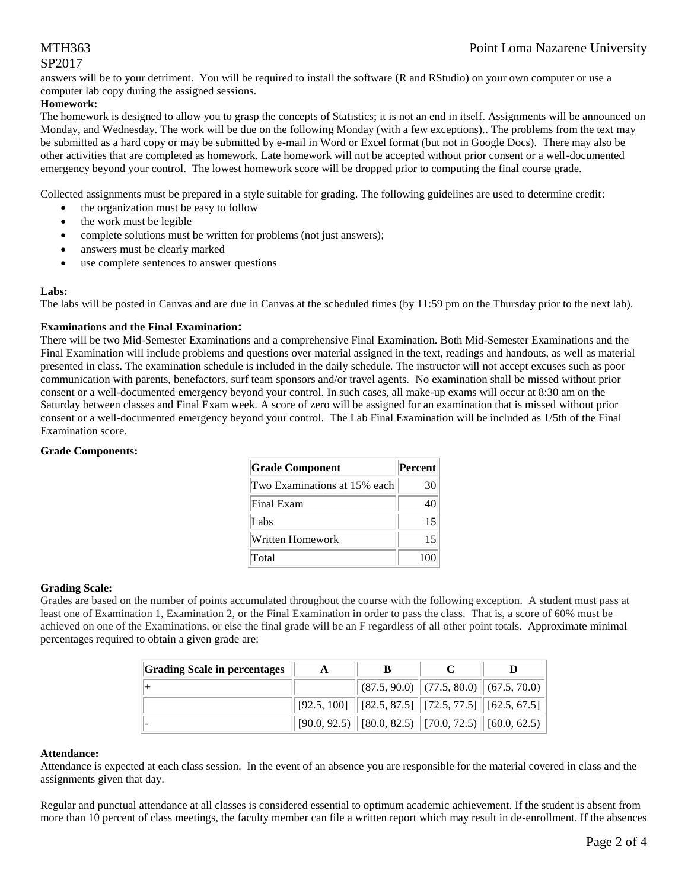# SP2017

answers will be to your detriment. You will be required to install the software (R and RStudio) on your own computer or use a computer lab copy during the assigned sessions.

### **Homework:**

The homework is designed to allow you to grasp the concepts of Statistics; it is not an end in itself. Assignments will be announced on Monday, and Wednesday. The work will be due on the following Monday (with a few exceptions).. The problems from the text may be submitted as a hard copy or may be submitted by e-mail in Word or Excel format (but not in Google Docs). There may also be other activities that are completed as homework. Late homework will not be accepted without prior consent or a well-documented emergency beyond your control. The lowest homework score will be dropped prior to computing the final course grade.

Collected assignments must be prepared in a style suitable for grading. The following guidelines are used to determine credit:

- the organization must be easy to follow
- the work must be legible
- complete solutions must be written for problems (not just answers);
- answers must be clearly marked
- use complete sentences to answer questions

#### **Labs:**

The labs will be posted in Canvas and are due in Canvas at the scheduled times (by 11:59 pm on the Thursday prior to the next lab).

#### **Examinations and the Final Examination:**

There will be two Mid-Semester Examinations and a comprehensive Final Examination. Both Mid-Semester Examinations and the Final Examination will include problems and questions over material assigned in the text, readings and handouts, as well as material presented in class. The examination schedule is included in the daily schedule. The instructor will not accept excuses such as poor communication with parents, benefactors, surf team sponsors and/or travel agents. No examination shall be missed without prior consent or a well-documented emergency beyond your control. In such cases, all make-up exams will occur at 8:30 am on the Saturday between classes and Final Exam week. A score of zero will be assigned for an examination that is missed without prior consent or a well-documented emergency beyond your control. The Lab Final Examination will be included as 1/5th of the Final Examination score.

#### **Grade Components:**

| <b>Grade Component</b>       | <b>Percent</b> |
|------------------------------|----------------|
| Two Examinations at 15% each | 30             |
| Final Exam                   | 40             |
| Labs                         | 15             |
| Written Homework             | 15             |
| Total                        | 100            |

#### **Grading Scale:**

Grades are based on the number of points accumulated throughout the course with the following exception. A student must pass at least one of Examination 1, Examination 2, or the Final Examination in order to pass the class. That is, a score of 60% must be achieved on one of the Examinations, or else the final grade will be an F regardless of all other point totals. Approximate minimal percentages required to obtain a given grade are:

| <b>Grading Scale in percentages</b> | A |                                                                                             |  |
|-------------------------------------|---|---------------------------------------------------------------------------------------------|--|
|                                     |   | $\ $ (87.5, 90.0) $\ $ (77.5, 80.0) $\ $ (67.5, 70.0) $\ $                                  |  |
|                                     |   | $\mid$ [92.5, 100] $\mid$ [82.5, 87.5] $\mid$ [72.5, 77.5] $\mid$ [62.5, 67.5] $\mid$       |  |
|                                     |   | $\vert$ [90.0, 92.5) $\vert$ [80.0, 82.5) $\vert$ [70.0, 72.5) $\vert$ [60.0, 62.5) $\vert$ |  |

#### **Attendance:**

Attendance is expected at each class session. In the event of an absence you are responsible for the material covered in class and the assignments given that day.

Regular and punctual attendance at all classes is considered essential to optimum academic achievement. If the student is absent from more than 10 percent of class meetings, the faculty member can file a written report which may result in de-enrollment. If the absences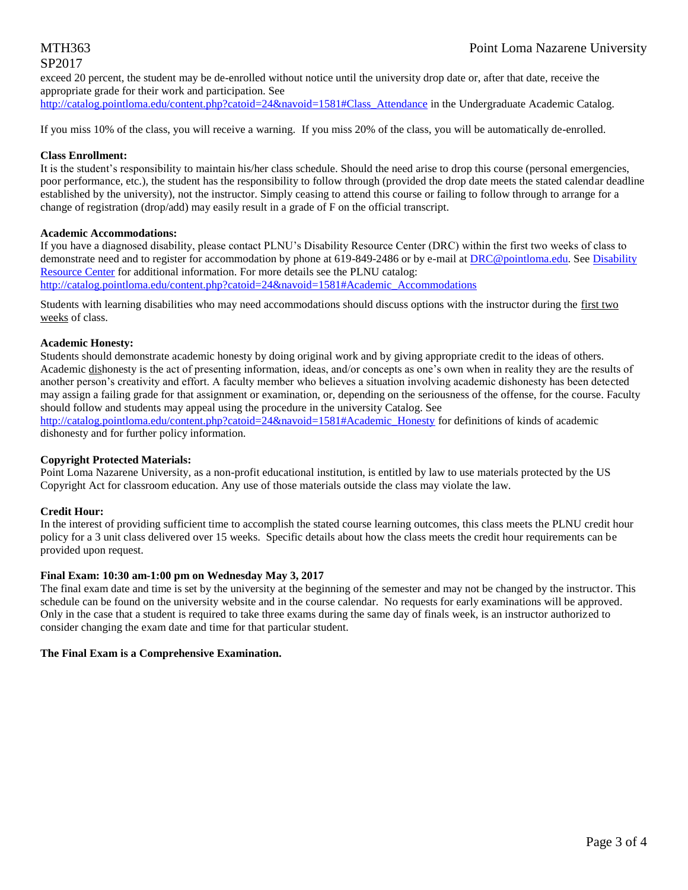# SP2017

### exceed 20 percent, the student may be de-enrolled without notice until the university drop date or, after that date, receive the appropriate grade for their work and participation. See

[http://catalog.pointloma.edu/content.php?catoid=24&navoid=1581#Class\\_Attendance](http://catalog.pointloma.edu/content.php?catoid=24&navoid=1581#Class_Attendance) in the Undergraduate Academic Catalog.

If you miss 10% of the class, you will receive a warning. If you miss 20% of the class, you will be automatically de-enrolled.

#### **Class Enrollment:**

It is the student's responsibility to maintain his/her class schedule. Should the need arise to drop this course (personal emergencies, poor performance, etc.), the student has the responsibility to follow through (provided the drop date meets the stated calendar deadline established by the university), not the instructor. Simply ceasing to attend this course or failing to follow through to arrange for a change of registration (drop/add) may easily result in a grade of F on the official transcript.

#### **Academic Accommodations:**

If you have a diagnosed disability, please contact PLNU's Disability Resource Center (DRC) within the first two weeks of class to demonstrate need and to register for accommodation by phone at 619-849-2486 or by e-mail at [DRC@pointloma.edu.](mailto:DRC@pointloma.edu) See Disability [Resource Center](http://www.pointloma.edu/experience/offices/administrative-offices/academic-advising-office/disability-resource-center) for additional information. For more details see the PLNU catalog: [http://catalog.pointloma.edu/content.php?catoid=24&navoid=1581#Academic\\_Accommodations](http://catalog.pointloma.edu/content.php?catoid=24&navoid=1581#Academic_Accommodations) 

Students with learning disabilities who may need accommodations should discuss options with the instructor during the first two weeks of class.

#### **Academic Honesty:**

Students should demonstrate academic honesty by doing original work and by giving appropriate credit to the ideas of others. Academic dishonesty is the act of presenting information, ideas, and/or concepts as one's own when in reality they are the results of another person's creativity and effort. A faculty member who believes a situation involving academic dishonesty has been detected may assign a failing grade for that assignment or examination, or, depending on the seriousness of the offense, for the course. Faculty should follow and students may appeal using the procedure in the university Catalog. See

[http://catalog.pointloma.edu/content.php?catoid=24&navoid=1581#Academic\\_Honesty](http://catalog.pointloma.edu/content.php?catoid=24&navoid=1581#Academic_Honesty) for definitions of kinds of academic dishonesty and for further policy information.

#### **Copyright Protected Materials:**

Point Loma Nazarene University, as a non-profit educational institution, is entitled by law to use materials protected by the US Copyright Act for classroom education. Any use of those materials outside the class may violate the law.

#### **Credit Hour:**

In the interest of providing sufficient time to accomplish the stated course learning outcomes, this class meets the PLNU credit hour policy for a 3 unit class delivered over 15 weeks. Specific details about how the class meets the credit hour requirements can be provided upon request.

#### **Final Exam: 10:30 am-1:00 pm on Wednesday May 3, 2017**

The final exam date and time is set by the university at the beginning of the semester and may not be changed by the instructor. This schedule can be found on the university website and in the course calendar. No requests for early examinations will be approved. Only in the case that a student is required to take three exams during the same day of finals week, is an instructor authorized to consider changing the exam date and time for that particular student.

#### **The Final Exam is a Comprehensive Examination.**